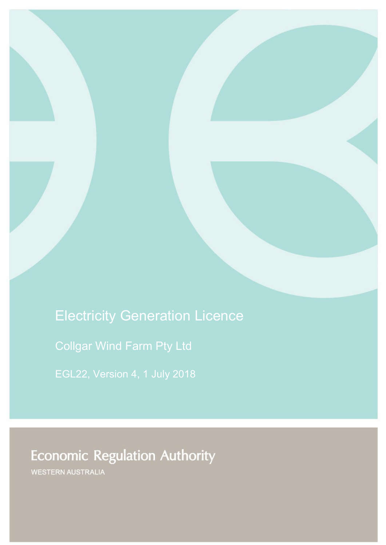# Electricity Generation Licence

Collgar Wind Farm Pty Ltd

# **Economic Regulation Authority**

WESTERN AUSTRALIA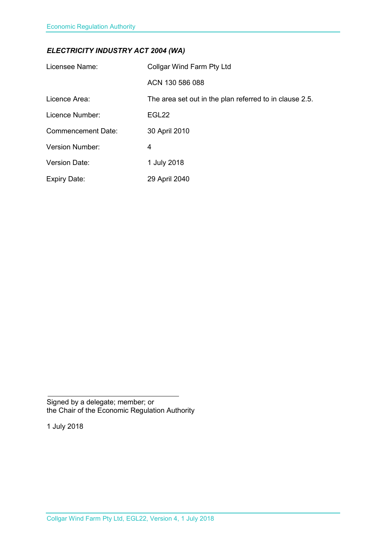### *ELECTRICITY INDUSTRY ACT 2004 (WA)*

| Licensee Name:            | Collgar Wind Farm Pty Ltd                               |
|---------------------------|---------------------------------------------------------|
|                           | ACN 130 586 088                                         |
| Licence Area:             | The area set out in the plan referred to in clause 2.5. |
| Licence Number:           | EGL22                                                   |
| <b>Commencement Date:</b> | 30 April 2010                                           |
| Version Number:           | 4                                                       |
| <b>Version Date:</b>      | 1 July 2018                                             |
| <b>Expiry Date:</b>       | 29 April 2040                                           |

Signed by a delegate; member; or the Chair of the Economic Regulation Authority

1 July 2018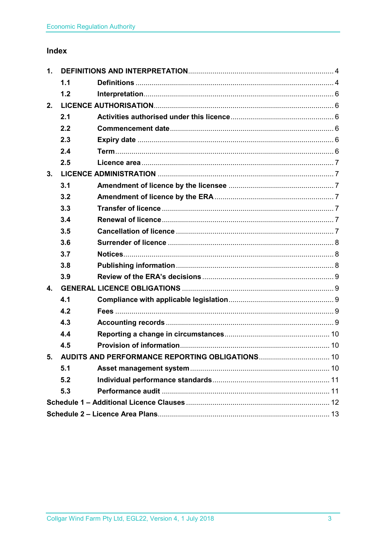### Index

| 1. |     |  |  |
|----|-----|--|--|
|    | 1.1 |  |  |
|    | 1.2 |  |  |
| 2. |     |  |  |
|    | 2.1 |  |  |
|    | 2.2 |  |  |
|    | 2.3 |  |  |
|    | 2.4 |  |  |
|    | 2.5 |  |  |
| 3. |     |  |  |
|    | 3.1 |  |  |
|    | 3.2 |  |  |
|    | 3.3 |  |  |
|    | 3.4 |  |  |
|    | 3.5 |  |  |
|    | 3.6 |  |  |
|    | 3.7 |  |  |
|    | 3.8 |  |  |
|    | 3.9 |  |  |
| 4. |     |  |  |
|    | 4.1 |  |  |
|    | 4.2 |  |  |
|    | 4.3 |  |  |
|    | 4.4 |  |  |
|    | 4.5 |  |  |
| 5. |     |  |  |
|    | 5.1 |  |  |
|    | 5.2 |  |  |
|    | 5.3 |  |  |
|    |     |  |  |
|    |     |  |  |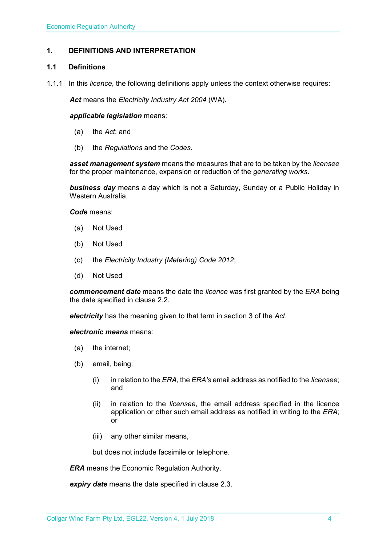#### <span id="page-3-0"></span>**1. DEFINITIONS AND INTERPRETATION**

#### <span id="page-3-1"></span>**1.1 Definitions**

1.1.1 In this *licence*, the following definitions apply unless the context otherwise requires:

*Act* means the *Electricity Industry Act 2004* (WA).

#### *applicable legislation* means:

- (a) the *Act*; and
- (b) the *Regulations* and the *Codes*.

*asset management system* means the measures that are to be taken by the *licensee* for the proper maintenance, expansion or reduction of the *generating works*.

*business day* means a day which is not a Saturday, Sunday or a Public Holiday in Western Australia.

*Code* means:

- (a) Not Used
- (b) Not Used
- (c) the *Electricity Industry (Metering) Code 2012*;
- (d) Not Used

*commencement date* means the date the *licence* was first granted by the *ERA* being the date specified in clause 2.2.

*electricity* has the meaning given to that term in section 3 of the *Act*.

*electronic means* means:

- (a) the internet;
- (b) email, being:
	- (i) in relation to the *ERA*, the *ERA's* email address as notified to the *licensee*; and
	- (ii) in relation to the *licensee*, the email address specified in the licence application or other such email address as notified in writing to the *ERA*; or
	- (iii) any other similar means,

but does not include facsimile or telephone.

*ERA* means the Economic Regulation Authority.

*expiry date* means the date specified in clause 2.3.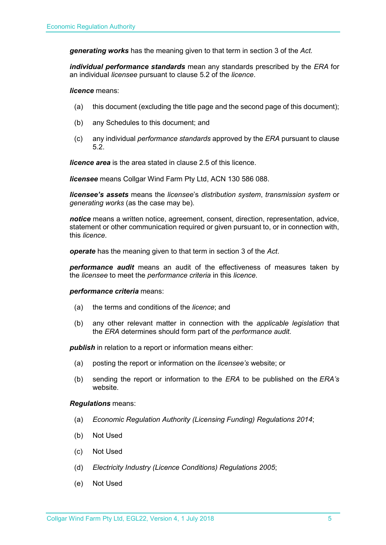*generating works* has the meaning given to that term in section 3 of the *Act.*

*individual performance standards* mean any standards prescribed by the *ERA* for an individual *licensee* pursuant to clause 5.2 of the *licence*.

*licence* means:

- (a) this document (excluding the title page and the second page of this document);
- (b) any Schedules to this document; and
- (c) any individual *performance standards* approved by the *ERA* pursuant to clause 5.2.

*licence area* is the area stated in clause 2.5 of this licence.

*licensee* means Collgar Wind Farm Pty Ltd, ACN 130 586 088.

*licensee's assets* means the *licensee*'s *distribution system*, *transmission system* or *generating works* (as the case may be).

*notice* means a written notice, agreement, consent, direction, representation, advice, statement or other communication required or given pursuant to, or in connection with, this *licence*.

*operate* has the meaning given to that term in section 3 of the *Act*.

*performance audit* means an audit of the effectiveness of measures taken by the *licensee* to meet the *performance criteria* in this *licence*.

#### *performance criteria* means:

- (a) the terms and conditions of the *licence*; and
- (b) any other relevant matter in connection with the *applicable legislation* that the *ERA* determines should form part of the *performance audit*.

**publish** in relation to a report or information means either:

- (a) posting the report or information on the *licensee's* website; or
- (b) sending the report or information to the *ERA* to be published on the *ERA's* website.

#### *Regulations* means:

- (a) *Economic Regulation Authority (Licensing Funding) Regulations 2014*;
- (b) Not Used
- (c) Not Used
- (d) *Electricity Industry (Licence Conditions) Regulations 2005*;
- (e) Not Used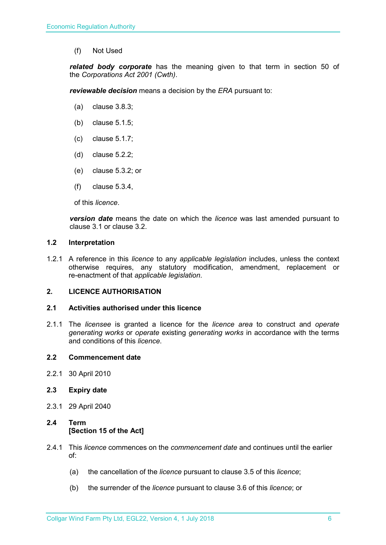(f) Not Used

*related body corporate* has the meaning given to that term in section 50 of the *Corporations Act 2001 (Cwth)*.

*reviewable decision* means a decision by the *ERA* pursuant to:

- (a) clause 3.8.3;
- (b) clause 5.1.5;
- (c) clause 5.1.7;
- (d) clause 5.2.2;
- (e) clause 5.3.2; or
- (f) clause 5.3.4,

of this *licence*.

*version date* means the date on which the *licence* was last amended pursuant to clause 3.1 or clause 3.2.

#### <span id="page-5-0"></span>**1.2 Interpretation**

1.2.1 A reference in this *licence* to any *applicable legislation* includes, unless the context otherwise requires, any statutory modification, amendment, replacement or re-enactment of that *applicable legislation*.

#### <span id="page-5-1"></span>**2. LICENCE AUTHORISATION**

#### <span id="page-5-2"></span>**2.1 Activities authorised under this licence**

2.1.1 The *licensee* is granted a licence for the *licence area* to construct and *operate generating works* or *operate* existing *generating works* in accordance with the terms and conditions of this *licence*.

#### <span id="page-5-3"></span>**2.2 Commencement date**

- 2.2.1 30 April 2010
- <span id="page-5-4"></span>**2.3 Expiry date**
- 2.3.1 29 April 2040

#### <span id="page-5-5"></span>**2.4 Term [Section 15 of the Act]**

- 2.4.1 This *licence* commences on the *commencement date* and continues until the earlier of:
	- (a) the cancellation of the *licence* pursuant to clause 3.5 of this *licence*;
	- (b) the surrender of the *licence* pursuant to clause 3.6 of this *licence*; or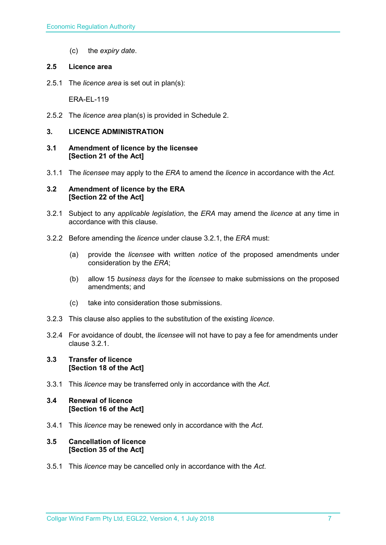(c) the *expiry date*.

#### <span id="page-6-0"></span>**2.5 Licence area**

2.5.1 The *licence area* is set out in plan(s):

ERA-EL-119

2.5.2 The *licence area* plan(s) is provided in Schedule 2.

#### <span id="page-6-1"></span>**3. LICENCE ADMINISTRATION**

- <span id="page-6-2"></span>**3.1 Amendment of licence by the licensee [Section 21 of the Act]**
- 3.1.1 The *licensee* may apply to the *ERA* to amend the *licence* in accordance with the *Act.*

#### <span id="page-6-3"></span>**3.2 Amendment of licence by the ERA [Section 22 of the Act]**

- 3.2.1 Subject to any *applicable legislation*, the *ERA* may amend the *licence* at any time in accordance with this clause.
- 3.2.2 Before amending the *licence* under clause 3.2.1, the *ERA* must:
	- (a) provide the *licensee* with written *notice* of the proposed amendments under consideration by the *ERA*;
	- (b) allow 15 *business days* for the *licensee* to make submissions on the proposed amendments; and
	- (c) take into consideration those submissions.
- 3.2.3 This clause also applies to the substitution of the existing *licence*.
- 3.2.4 For avoidance of doubt, the *licensee* will not have to pay a fee for amendments under clause 3.2.1.

#### <span id="page-6-4"></span>**3.3 Transfer of licence [Section 18 of the Act]**

3.3.1 This *licence* may be transferred only in accordance with the *Act.*

#### <span id="page-6-5"></span>**3.4 Renewal of licence [Section 16 of the Act]**

3.4.1 This *licence* may be renewed only in accordance with the *Act*.

#### <span id="page-6-6"></span>**3.5 Cancellation of licence [Section 35 of the Act]**

3.5.1 This *licence* may be cancelled only in accordance with the *Act*.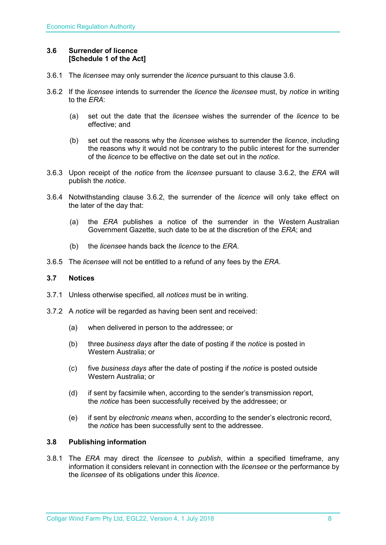#### <span id="page-7-0"></span>**3.6 Surrender of licence [Schedule 1 of the Act]**

- 3.6.1 The *licensee* may only surrender the *licence* pursuant to this clause 3.6.
- 3.6.2 If the *licensee* intends to surrender the *licence* the *licensee* must, by *notice* in writing to the *ERA*:
	- (a) set out the date that the *licensee* wishes the surrender of the *licence* to be effective; and
	- (b) set out the reasons why the *licensee* wishes to surrender the *licence*, including the reasons why it would not be contrary to the public interest for the surrender of the *licence* to be effective on the date set out in the *notice*.
- 3.6.3 Upon receipt of the *notice* from the *licensee* pursuant to clause 3.6.2, the *ERA* will publish the *notice*.
- 3.6.4 Notwithstanding clause 3.6.2, the surrender of the *licence* will only take effect on the later of the day that:
	- (a) the *ERA* publishes a notice of the surrender in the Western Australian Government Gazette, such date to be at the discretion of the *ERA*; and
	- (b) the *licensee* hands back the *licence* to the *ERA*.
- 3.6.5 The *licensee* will not be entitled to a refund of any fees by the *ERA*.

#### <span id="page-7-1"></span>**3.7 Notices**

- 3.7.1 Unless otherwise specified, all *notices* must be in writing.
- 3.7.2 A *notice* will be regarded as having been sent and received:
	- (a) when delivered in person to the addressee; or
	- (b) three *business days* after the date of posting if the *notice* is posted in Western Australia; or
	- (c) five *business days* after the date of posting if the *notice* is posted outside Western Australia; or
	- (d) if sent by facsimile when, according to the sender's transmission report, the *notice* has been successfully received by the addressee; or
	- (e) if sent by *electronic means* when, according to the sender's electronic record, the *notice* has been successfully sent to the addressee.

#### <span id="page-7-2"></span>**3.8 Publishing information**

3.8.1 The *ERA* may direct the *licensee* to *publish*, within a specified timeframe, any information it considers relevant in connection with the *licensee* or the performance by the *licensee* of its obligations under this *licence*.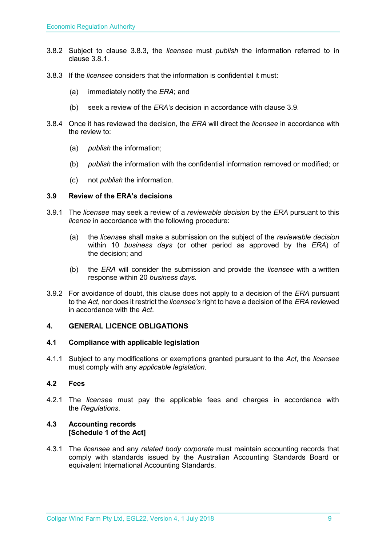- 3.8.2 Subject to clause 3.8.3, the *licensee* must *publish* the information referred to in clause 3.8.1.
- 3.8.3 If the *licensee* considers that the information is confidential it must:
	- (a) immediately notify the *ERA*; and
	- (b) seek a review of the *ERA's* decision in accordance with clause 3.9.
- 3.8.4 Once it has reviewed the decision, the *ERA* will direct the *licensee* in accordance with the review to:
	- (a) *publish* the information;
	- (b) *publish* the information with the confidential information removed or modified; or
	- (c) not *publish* the information.

#### <span id="page-8-0"></span>**3.9 Review of the ERA's decisions**

- 3.9.1 The *licensee* may seek a review of a *reviewable decision* by the *ERA* pursuant to this *licence* in accordance with the following procedure:
	- (a) the *licensee* shall make a submission on the subject of the *reviewable decision* within 10 *business days* (or other period as approved by the *ERA*) of the decision; and
	- (b) the *ERA* will consider the submission and provide the *licensee* with a written response within 20 *business days*.
- 3.9.2 For avoidance of doubt, this clause does not apply to a decision of the *ERA* pursuant to the *Act*, nor does it restrict the *licensee's* right to have a decision of the *ERA* reviewed in accordance with the *Act*.

#### <span id="page-8-1"></span>**4. GENERAL LICENCE OBLIGATIONS**

#### <span id="page-8-2"></span>**4.1 Compliance with applicable legislation**

4.1.1 Subject to any modifications or exemptions granted pursuant to the *Act*, the *licensee* must comply with any *applicable legislation*.

#### <span id="page-8-3"></span>**4.2 Fees**

4.2.1 The *licensee* must pay the applicable fees and charges in accordance with the *Regulations*.

#### <span id="page-8-4"></span>**4.3 Accounting records [Schedule 1 of the Act]**

4.3.1 The *licensee* and any *related body corporate* must maintain accounting records that comply with standards issued by the Australian Accounting Standards Board or equivalent International Accounting Standards.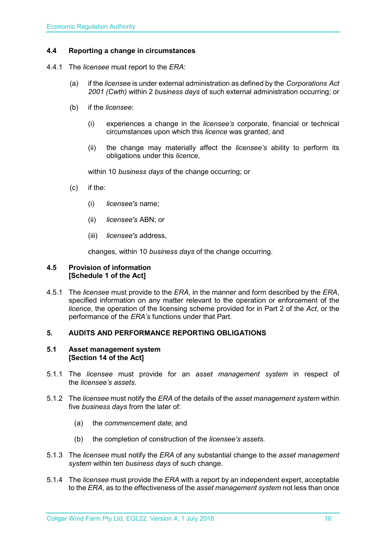#### <span id="page-9-0"></span>**4.4 Reporting a change in circumstances**

- 4.4.1 The *licensee* must report to the *ERA*:
	- (a) if the *licensee* is under external administration as defined by the *Corporations Act 2001 (Cwth)* within 2 *business days* of such external administration occurring; or
	- (b) if the *licensee*:
		- (i) experiences a change in the *licensee's* corporate, financial or technical circumstances upon which this *licence* was granted; and
		- (ii) the change may materially affect the *licensee's* ability to perform its obligations under this *licence*,

within 10 *business days* of the change occurring; or

- (c) if the:
	- (i) *licensee's* name;
	- (ii) *licensee's* ABN; or
	- (iii) *licensee's* address,

changes, within 10 *business days* of the change occurring.

#### <span id="page-9-1"></span>**4.5 Provision of information [Schedule 1 of the Act]**

4.5.1 The *licensee* must provide to the *ERA*, in the manner and form described by the *ERA*, specified information on any matter relevant to the operation or enforcement of the *licence*, the operation of the licensing scheme provided for in Part 2 of the *Act*, or the performance of the *ERA's* functions under that Part.

#### <span id="page-9-2"></span>**5. AUDITS AND PERFORMANCE REPORTING OBLIGATIONS**

#### <span id="page-9-3"></span>**5.1 Asset management system [Section 14 of the Act]**

- 5.1.1 The *licensee* must provide for an *asset management system* in respect of the *licensee's assets*.
- 5.1.2 The *licensee* must notify the *ERA* of the details of the *asset management system* within five *business days* from the later of:
	- (a) the *commencement date*; and
	- (b) the completion of construction of the *licensee's assets*.
- 5.1.3 The *licensee* must notify the *ERA* of any substantial change to the *asset management system* within ten *business days* of such change.
- 5.1.4 The *licensee* must provide the *ERA* with a report by an independent expert, acceptable to the *ERA*, as to the effectiveness of the *asset management system* not less than once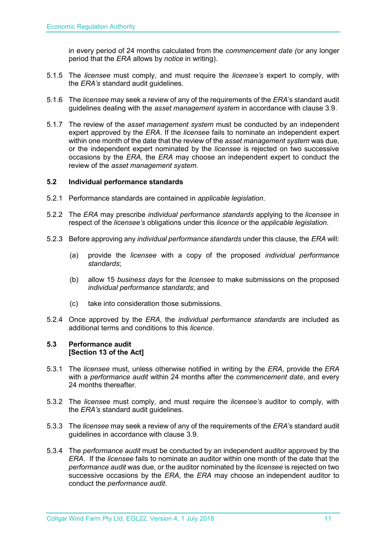in every period of 24 months calculated from the *commencement date (*or any longer period that the *ERA* allows by *notice* in writing).

- 5.1.5 The *licensee* must comply, and must require the *licensee's* expert to comply, with the *ERA's* standard audit guidelines.
- 5.1.6 The *licensee* may seek a review of any of the requirements of the *ERA*'s standard audit guidelines dealing with the *asset management system* in accordance with clause 3.9.
- 5.1.7 The review of the *asset management system* must be conducted by an independent expert approved by the *ERA*. If the *licensee* fails to nominate an independent expert within one month of the date that the review of the *asset management system* was due, or the independent expert nominated by the *licensee* is rejected on two successive occasions by the *ERA*, the *ERA* may choose an independent expert to conduct the review of the *asset management system*.

#### <span id="page-10-0"></span>**5.2 Individual performance standards**

- 5.2.1 Performance standards are contained in *applicable legislation*.
- 5.2.2 The *ERA* may prescribe *individual performance standards* applying to the *licensee* in respect of the *licensee's* obligations under this *licence* or the *applicable legislation*.
- 5.2.3 Before approving any *individual performance standards* under this clause, the *ERA* will:
	- (a) provide the *licensee* with a copy of the proposed *individual performance standards*;
	- (b) allow 15 *business days* for the *licensee* to make submissions on the proposed *individual performance standards*; and
	- (c) take into consideration those submissions.
- 5.2.4 Once approved by the *ERA*, the *individual performance standards* are included as additional terms and conditions to this *licence*.

#### <span id="page-10-1"></span>**5.3 Performance audit [Section 13 of the Act]**

- 5.3.1 The *licensee* must, unless otherwise notified in writing by the *ERA*, provide the *ERA* with a *performance audit* within 24 months after the *commencement date*, and every 24 months thereafter.
- 5.3.2 The *licensee* must comply, and must require the *licensee's* auditor to comply, with the *ERA's* standard audit guidelines.
- 5.3.3 The *licensee* may seek a review of any of the requirements of the *ERA*'s standard audit guidelines in accordance with clause 3.9.
- 5.3.4 The *performance audit* must be conducted by an independent auditor approved by the *ERA*. If the *licensee* fails to nominate an auditor within one month of the date that the *performance audit* was due, or the auditor nominated by the *licensee* is rejected on two successive occasions by the *ERA*, the *ERA* may choose an independent auditor to conduct the *performance audit*.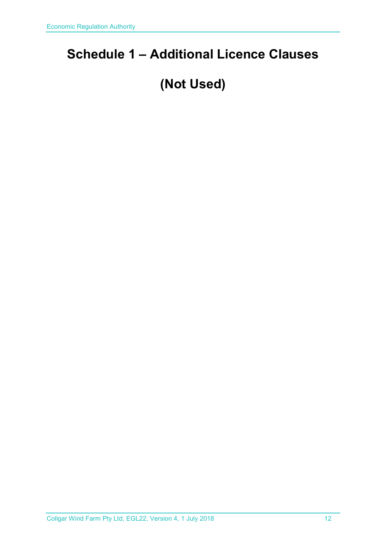### <span id="page-11-0"></span>**Schedule 1 – Additional Licence Clauses**

## **(Not Used)**

Collgar Wind Farm Pty Ltd, EGL22, Version 4, 1 July 2018 12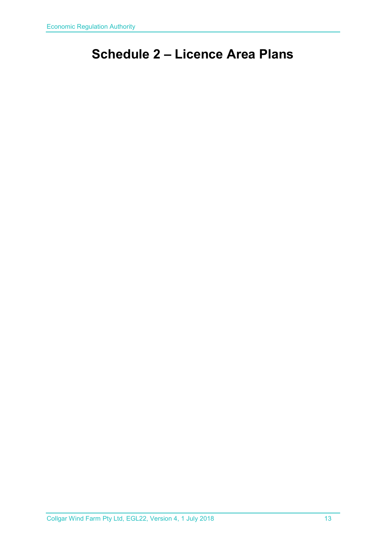### <span id="page-12-0"></span>**Schedule 2 – Licence Area Plans**